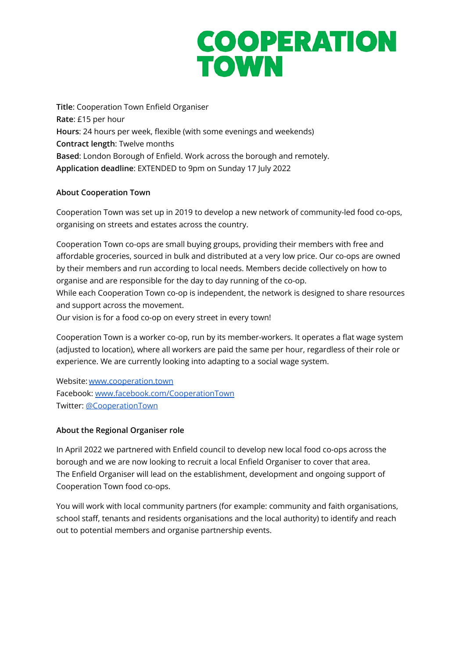## **COOPERATION TOWN**

**Title**: Cooperation Town Enfield Organiser **Rate**: £15 per hour **Hours**: 24 hours per week, flexible (with some evenings and weekends) **Contract length**: Twelve months **Based**: London Borough of Enfield. Work across the borough and remotely. **Application deadline**: EXTENDED to 9pm on Sunday 17 July 2022

### **About Cooperation Town**

Cooperation Town was set up in 2019 to develop a new network of community-led food co-ops, organising on streets and estates across the country.

Cooperation Town co-ops are small buying groups, providing their members with free and affordable groceries, sourced in bulk and distributed at a very low price. Our co-ops are owned by their members and run according to local needs. Members decide collectively on how to organise and are responsible for the day to day running of the co-op. While each Cooperation Town co-op is independent, the network is designed to share resources

and support across the movement.

Our vision is for a food co-op on every street in every town!

Cooperation Town is a worker co-op, run by its member-workers. It operates a flat wage system (adjusted to location), where all workers are paid the same per hour, regardless of their role or experience. We are currently looking into adapting to a social wage system.

Website: [www.cooperation.town](http://cooperation.town) Facebook: [www.facebook.com/CooperationTown](https://www.facebook.com/CooperationTown/) Twitter: [@CooperationTown](https://twitter.com/CooperationTown)

## **About the Regional Organiser role**

In April 2022 we partnered with Enfield council to develop new local food co-ops across the borough and we are now looking to recruit a local Enfield Organiser to cover that area. The Enfield Organiser will lead on the establishment, development and ongoing support of Cooperation Town food co-ops.

You will work with local community partners (for example: community and faith organisations, school staff, tenants and residents organisations and the local authority) to identify and reach out to potential members and organise partnership events.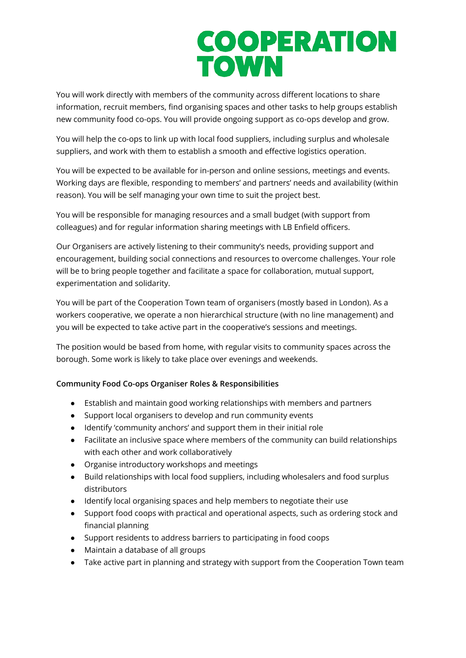## **COOPERATION TOWN**

You will work directly with members of the community across different locations to share information, recruit members, find organising spaces and other tasks to help groups establish new community food co-ops. You will provide ongoing support as co-ops develop and grow.

You will help the co-ops to link up with local food suppliers, including surplus and wholesale suppliers, and work with them to establish a smooth and effective logistics operation.

You will be expected to be available for in-person and online sessions, meetings and events. Working days are flexible, responding to members' and partners' needs and availability (within reason). You will be self managing your own time to suit the project best.

You will be responsible for managing resources and a small budget (with support from colleagues) and for regular information sharing meetings with LB Enfield officers.

Our Organisers are actively listening to their community's needs, providing support and encouragement, building social connections and resources to overcome challenges. Your role will be to bring people together and facilitate a space for collaboration, mutual support, experimentation and solidarity.

You will be part of the Cooperation Town team of organisers (mostly based in London). As a workers cooperative, we operate a non hierarchical structure (with no line management) and you will be expected to take active part in the cooperative's sessions and meetings.

The position would be based from home, with regular visits to community spaces across the borough. Some work is likely to take place over evenings and weekends.

### **Community Food Co-ops Organiser Roles & Responsibilities**

- Establish and maintain good working relationships with members and partners
- Support local organisers to develop and run community events
- Identify 'community anchors' and support them in their initial role
- Facilitate an inclusive space where members of the community can build relationships with each other and work collaboratively
- Organise introductory workshops and meetings
- Build relationships with local food suppliers, including wholesalers and food surplus distributors
- Identify local organising spaces and help members to negotiate their use
- Support food coops with practical and operational aspects, such as ordering stock and financial planning
- Support residents to address barriers to participating in food coops
- Maintain a database of all groups
- Take active part in planning and strategy with support from the Cooperation Town team